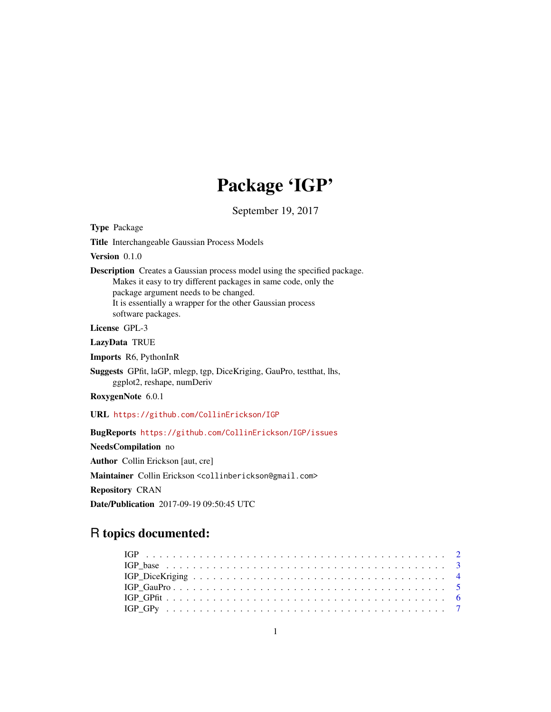# Package 'IGP'

September 19, 2017

<span id="page-0-0"></span>Type Package Title Interchangeable Gaussian Process Models Version 0.1.0 Description Creates a Gaussian process model using the specified package. Makes it easy to try different packages in same code, only the package argument needs to be changed. It is essentially a wrapper for the other Gaussian process software packages. License GPL-3 LazyData TRUE Imports R6, PythonInR Suggests GPfit, laGP, mlegp, tgp, DiceKriging, GauPro, testthat, lhs, ggplot2, reshape, numDeriv RoxygenNote 6.0.1 URL <https://github.com/CollinErickson/IGP> BugReports <https://github.com/CollinErickson/IGP/issues> NeedsCompilation no Author Collin Erickson [aut, cre] Maintainer Collin Erickson <collinberickson@gmail.com> Repository CRAN Date/Publication 2017-09-19 09:50:45 UTC

# R topics documented: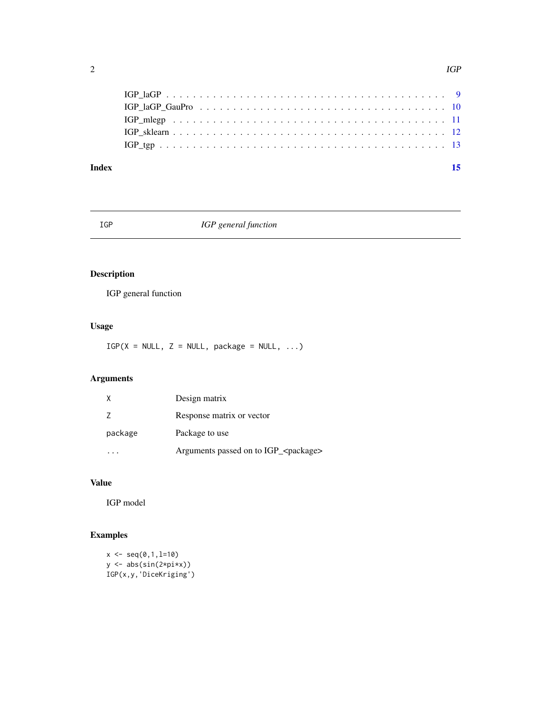<span id="page-1-0"></span>

#### **Index** [15](#page-14-0)

IGP *IGP general function*

# Description

IGP general function

# Usage

 $IGP(X = NULL, Z = NULL, package = NULL, ...)$ 

# Arguments

|         | Design matrix                                   |
|---------|-------------------------------------------------|
| 7       | Response matrix or vector                       |
| package | Package to use                                  |
|         | Arguments passed on to IGP_ <package></package> |

# Value

IGP model

# Examples

```
x \leftarrow \text{seq}(0, 1, 1=10)y <- abs(sin(2*pi*x))
IGP(x,y,'DiceKriging')
```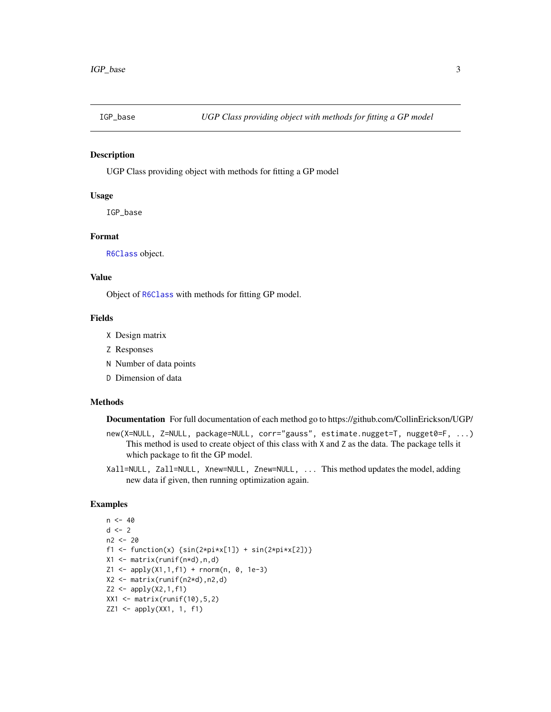<span id="page-2-0"></span>

# Description

UGP Class providing object with methods for fitting a GP model

#### Usage

IGP\_base

# Format

[R6Class](#page-0-0) object.

#### Value

Object of [R6Class](#page-0-0) with methods for fitting GP model.

#### Fields

- X Design matrix
- Z Responses
- N Number of data points
- D Dimension of data

#### Methods

Documentation For full documentation of each method go to https://github.com/CollinErickson/UGP/

- new(X=NULL, Z=NULL, package=NULL, corr="gauss", estimate.nugget=T, nugget0=F, ...) This method is used to create object of this class with X and Z as the data. The package tells it which package to fit the GP model.
- Xall=NULL, Zall=NULL, Xnew=NULL, Znew=NULL, ... This method updates the model, adding new data if given, then running optimization again.

# Examples

```
n < -40d \leq -2n2 <- 20
f1 <- function(x) {\sin(2 \times \pi) \times [1]} + \sin(2 \times \pi) \times [2])}
X1 <- matrix(runif(n*d),n,d)
Z1 \leq - apply(X1,1,f1) + rnorm(n, 0, 1e-3)
X2 <- matrix(runif(n2*d),n2,d)
Z2 \le - apply(X2,1,f1)
XX1 <- matrix(runif(10), 5, 2)
ZZ1 <- apply(XX1, 1, f1)
```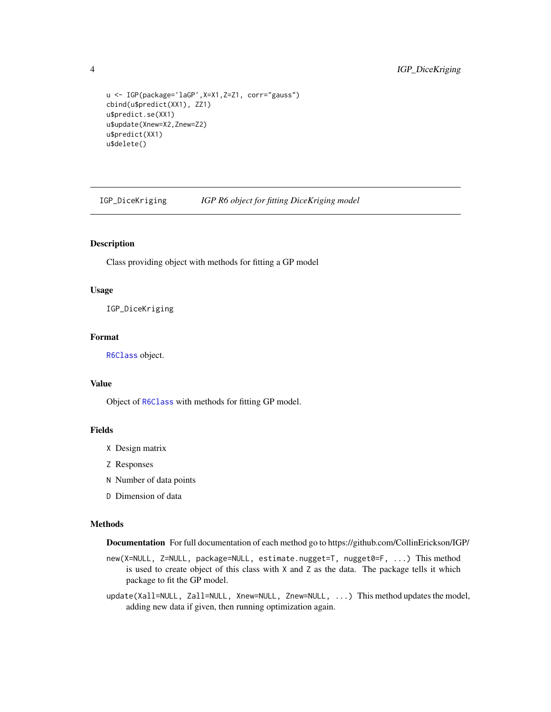# <span id="page-3-0"></span>4 IGP\_DiceKriging

```
u <- IGP(package='laGP',X=X1,Z=Z1, corr="gauss")
cbind(u$predict(XX1), ZZ1)
u$predict.se(XX1)
u$update(Xnew=X2,Znew=Z2)
u$predict(XX1)
u$delete()
```
IGP\_DiceKriging *IGP R6 object for fitting DiceKriging model*

#### Description

Class providing object with methods for fitting a GP model

#### Usage

IGP\_DiceKriging

# Format

[R6Class](#page-0-0) object.

# Value

Object of [R6Class](#page-0-0) with methods for fitting GP model.

# Fields

- X Design matrix
- Z Responses
- N Number of data points
- D Dimension of data

#### Methods

Documentation For full documentation of each method go to https://github.com/CollinErickson/IGP/

new(X=NULL, Z=NULL, package=NULL, estimate.nugget=T, nugget0=F, ...) This method is used to create object of this class with X and Z as the data. The package tells it which package to fit the GP model.

update(Xall=NULL, Zall=NULL, Xnew=NULL, Znew=NULL, ...) This method updates the model, adding new data if given, then running optimization again.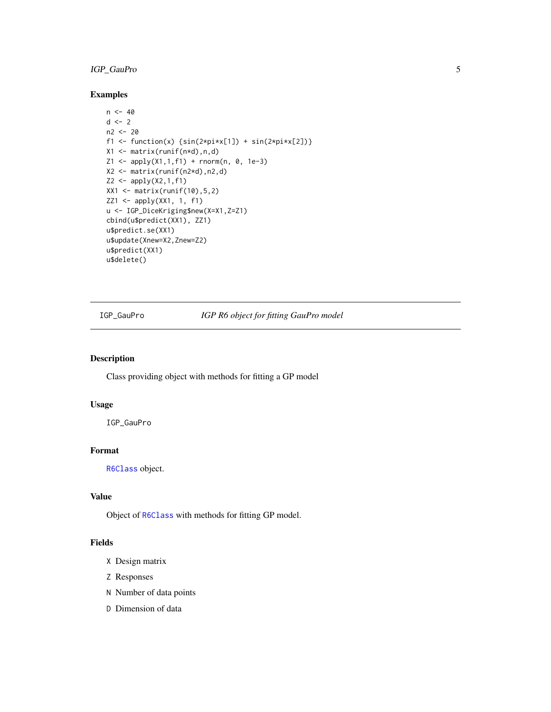# <span id="page-4-0"></span>IGP\_GauPro 5

# Examples

```
n < -40d \leq -2n2 <- 20
f1 <- function(x) {\sin(2 \times \pi) \times \sin(2 \times \pi) + \sin(2 \times \pi) \times \cos(2)}
X1 <- matrix(runif(n*d),n,d)
Z1 \leq - apply(X1,1,f1) + rnorm(n, 0, 1e-3)
X2 <- matrix(runif(n2*d),n2,d)
Z2 \leftarrow apply(X2, 1, f1)XX1 <- matrix(runif(10),5,2)
ZZ1 <- apply(XX1, 1, f1)
u <- IGP_DiceKriging$new(X=X1,Z=Z1)
cbind(u$predict(XX1), ZZ1)
u$predict.se(XX1)
u$update(Xnew=X2,Znew=Z2)
u$predict(XX1)
u$delete()
```
IGP\_GauPro *IGP R6 object for fitting GauPro model*

### Description

Class providing object with methods for fitting a GP model

# Usage

IGP\_GauPro

# Format

[R6Class](#page-0-0) object.

# Value

Object of [R6Class](#page-0-0) with methods for fitting GP model.

#### Fields

- X Design matrix
- Z Responses
- N Number of data points
- D Dimension of data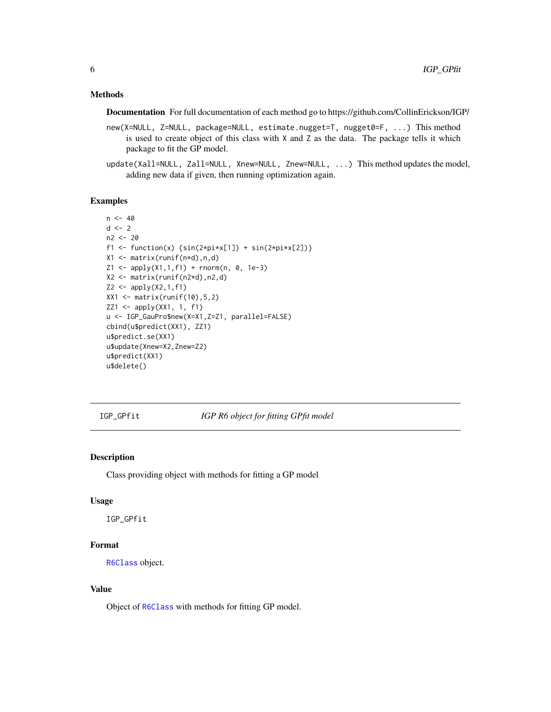# <span id="page-5-0"></span>Methods

Documentation For full documentation of each method go to https://github.com/CollinErickson/IGP/

- new(X=NULL, Z=NULL, package=NULL, estimate.nugget=T, nugget0=F, ...) This method is used to create object of this class with X and Z as the data. The package tells it which package to fit the GP model.
- update(Xall=NULL, Zall=NULL, Xnew=NULL, Znew=NULL, ...) This method updates the model, adding new data if given, then running optimization again.

#### Examples

```
n < -40d \le -2n2 <- 20
f1 <- function(x) {\sin(2 \times \pi) \times \sin(2 \times \pi) + \sin(2 \times \pi) \times \cos(2)}
X1 <- matrix(runif(n*d),n,d)
Z1 \leq - apply(X1,1,f1) + rnorm(n, 0, 1e-3)
X2 <- matrix(runif(n2*d),n2,d)
Z2 \le - apply(X2,1,f1)
XX1 <- matrix(runif(10),5,2)
ZZ1 <- apply(XX1, 1, f1)
u <- IGP_GauPro$new(X=X1,Z=Z1, parallel=FALSE)
cbind(u$predict(XX1), ZZ1)
u$predict.se(XX1)
u$update(Xnew=X2,Znew=Z2)
u$predict(XX1)
u$delete()
```
IGP\_GPfit *IGP R6 object for fitting GPfit model*

#### Description

Class providing object with methods for fitting a GP model

#### Usage

IGP\_GPfit

#### Format

[R6Class](#page-0-0) object.

#### Value

Object of [R6Class](#page-0-0) with methods for fitting GP model.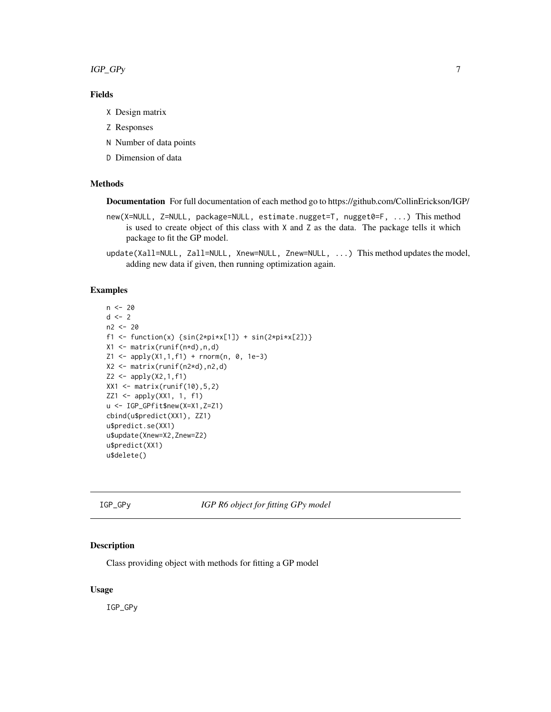<span id="page-6-0"></span>IGP\_GPy 7

# Fields

- X Design matrix
- Z Responses
- N Number of data points
- D Dimension of data

# Methods

Documentation For full documentation of each method go to https://github.com/CollinErickson/IGP/

- new(X=NULL, Z=NULL, package=NULL, estimate.nugget=T, nugget0=F, ...) This method is used to create object of this class with X and Z as the data. The package tells it which package to fit the GP model.
- update(Xall=NULL, Zall=NULL, Xnew=NULL, Znew=NULL, ...) This method updates the model, adding new data if given, then running optimization again.

#### Examples

```
n < - 20d \le -2n2 <- 20
f1 <- function(x) {sin(2*pi*x[1]) + sin(2*pi*x[2])}
X1 <- matrix(runif(n*d),n,d)
Z1 \leq - apply(X1,1,f1) + rnorm(n, 0, 1e-3)
X2 <- matrix(runif(n2*d),n2,d)
Z2 \le apply(X2,1,f1)
XX1 <- matrix(runif(10), 5, 2)
ZZ1 <- apply(XX1, 1, f1)
u <- IGP_GPfit$new(X=X1,Z=Z1)
cbind(u$predict(XX1), ZZ1)
u$predict.se(XX1)
u$update(Xnew=X2,Znew=Z2)
u$predict(XX1)
u$delete()
```
IGP\_GPy *IGP R6 object for fitting GPy model*

#### Description

Class providing object with methods for fitting a GP model

#### Usage

IGP\_GPy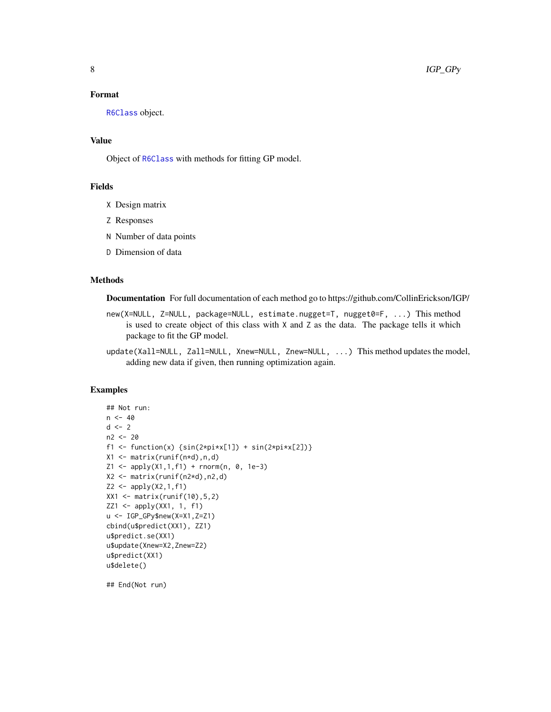# <span id="page-7-0"></span>Format

[R6Class](#page-0-0) object.

# Value

Object of [R6Class](#page-0-0) with methods for fitting GP model.

#### Fields

- X Design matrix
- Z Responses
- N Number of data points
- D Dimension of data

#### Methods

Documentation For full documentation of each method go to https://github.com/CollinErickson/IGP/

- new(X=NULL, Z=NULL, package=NULL, estimate.nugget=T, nugget0=F, ...) This method is used to create object of this class with  $X$  and  $Z$  as the data. The package tells it which package to fit the GP model.
- update(Xall=NULL, Zall=NULL, Xnew=NULL, Znew=NULL, ...) This method updates the model, adding new data if given, then running optimization again.

# Examples

```
## Not run:
n < -40d \leq -2n2 < -20f1 <- function(x) {\sin(2 \times \pi x[1]) + \sin(2 \times \pi x[2])}
X1 <- matrix(runif(n*d),n,d)
Z1 \leq - apply(X1,1,f1) + rnorm(n, 0, 1e-3)
X2 \leq - matrix(runif(n2*d),n2,d)
Z2 \le apply(X2,1,f1)
XX1 <- matrix(runif(10), 5, 2)
ZZ1 <- apply(XX1, 1, f1)
u <- IGP_GPy$new(X=X1,Z=Z1)
cbind(u$predict(XX1), ZZ1)
u$predict.se(XX1)
u$update(Xnew=X2,Znew=Z2)
u$predict(XX1)
u$delete()
```
## End(Not run)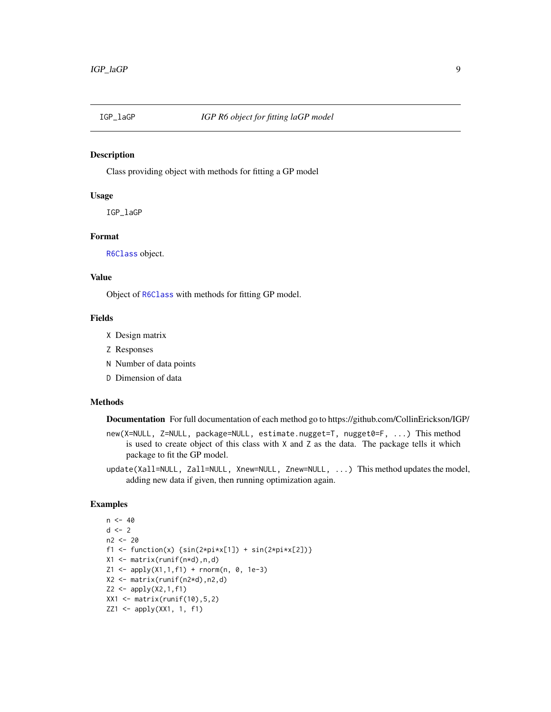<span id="page-8-0"></span>

#### Description

Class providing object with methods for fitting a GP model

#### Usage

IGP\_laGP

# Format

[R6Class](#page-0-0) object.

#### Value

Object of [R6Class](#page-0-0) with methods for fitting GP model.

#### Fields

- X Design matrix
- Z Responses
- N Number of data points
- D Dimension of data

#### Methods

Documentation For full documentation of each method go to https://github.com/CollinErickson/IGP/

- new(X=NULL, Z=NULL, package=NULL, estimate.nugget=T, nugget0=F, ...) This method is used to create object of this class with X and Z as the data. The package tells it which package to fit the GP model.
- update(Xall=NULL, Zall=NULL, Xnew=NULL, Znew=NULL, ...) This method updates the model, adding new data if given, then running optimization again.

# Examples

```
n < -40d \leq -2n2 <- 20
f1 <- function(x) {\sin(2 \times \pi) \times [1]} + \sin(2 \times \pi) \times [2])}
X1 <- matrix(runif(n*d),n,d)
Z1 \leq - apply(X1,1,f1) + rnorm(n, 0, 1e-3)
X2 <- matrix(runif(n2*d),n2,d)
Z2 \le - apply(X2,1,f1)
XX1 <- matrix(runif(10), 5, 2)
ZZ1 <- apply(XX1, 1, f1)
```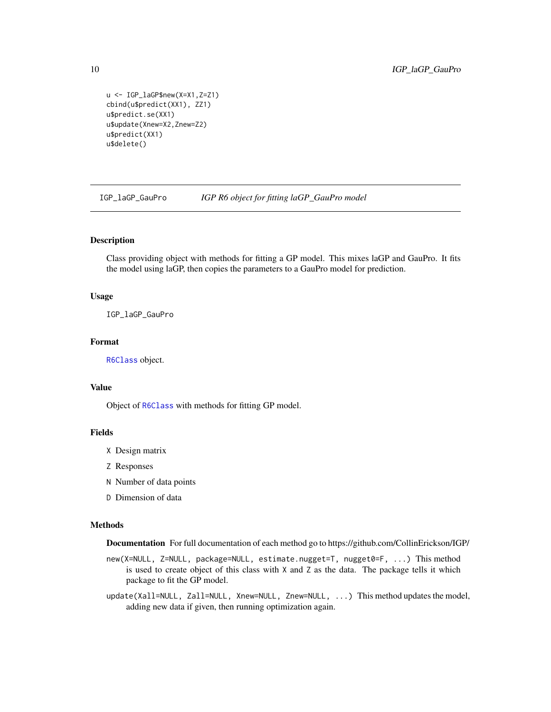```
u <- IGP_laGP$new(X=X1,Z=Z1)
cbind(u$predict(XX1), ZZ1)
u$predict.se(XX1)
u$update(Xnew=X2,Znew=Z2)
u$predict(XX1)
u$delete()
```
IGP\_laGP\_GauPro *IGP R6 object for fitting laGP\_GauPro model*

#### Description

Class providing object with methods for fitting a GP model. This mixes laGP and GauPro. It fits the model using laGP, then copies the parameters to a GauPro model for prediction.

#### Usage

IGP\_laGP\_GauPro

#### Format

[R6Class](#page-0-0) object.

#### Value

Object of [R6Class](#page-0-0) with methods for fitting GP model.

# Fields

- X Design matrix
- Z Responses
- N Number of data points
- D Dimension of data

### Methods

Documentation For full documentation of each method go to https://github.com/CollinErickson/IGP/

new(X=NULL, Z=NULL, package=NULL, estimate.nugget=T, nugget0=F, ...) This method is used to create object of this class with  $X$  and  $Z$  as the data. The package tells it which package to fit the GP model.

update(Xall=NULL, Zall=NULL, Xnew=NULL, Znew=NULL, ...) This method updates the model, adding new data if given, then running optimization again.

<span id="page-9-0"></span>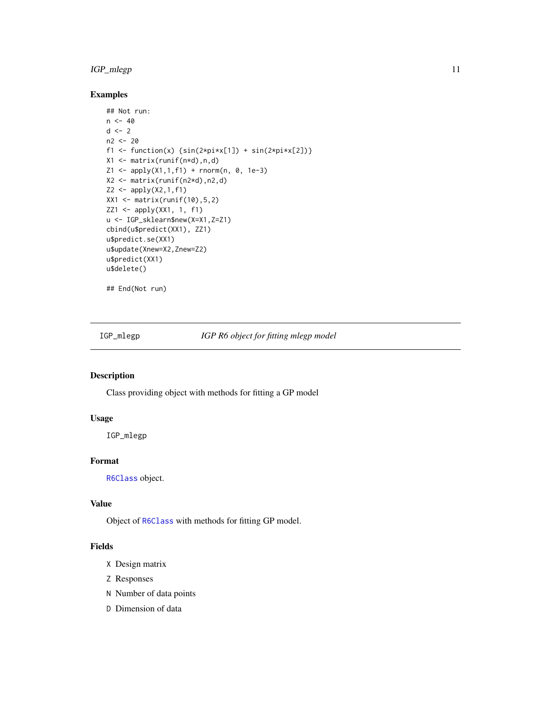# <span id="page-10-0"></span>IGP\_mlegp 11

# Examples

```
## Not run:
n < -40d \leq -2n2 <- 20
f1 <- function(x) {\sin(2 \times \pi) \times \sin(2 \times \pi) + \sin(2 \times \pi) \times \cos(2)}
X1 <- matrix(runif(n*d),n,d)
Z1 \leq - apply(X1,1,f1) + rnorm(n, 0, 1e-3)
X2 <- matrix(runif(n2*d),n2,d)
Z2 \le apply(X2,1,f1)
XX1 <- matrix(runif(10),5,2)
ZZ1 <- apply(XX1, 1, f1)
u <- IGP_sklearn$new(X=X1,Z=Z1)
cbind(u$predict(XX1), ZZ1)
u$predict.se(XX1)
u$update(Xnew=X2,Znew=Z2)
u$predict(XX1)
u$delete()
```
## End(Not run)

IGP\_mlegp *IGP R6 object for fitting mlegp model*

# Description

Class providing object with methods for fitting a GP model

# Usage

IGP\_mlegp

# Format

[R6Class](#page-0-0) object.

# Value

Object of [R6Class](#page-0-0) with methods for fitting GP model.

# Fields

- X Design matrix
- Z Responses
- N Number of data points
- D Dimension of data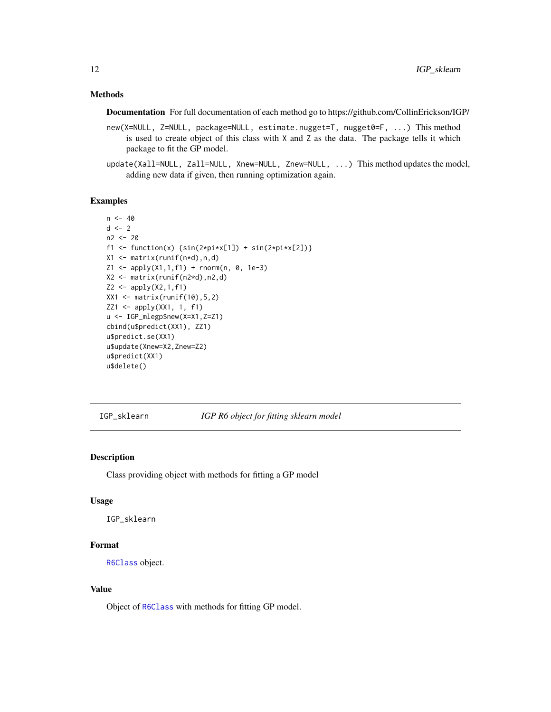# <span id="page-11-0"></span>Methods

Documentation For full documentation of each method go to https://github.com/CollinErickson/IGP/

- new(X=NULL, Z=NULL, package=NULL, estimate.nugget=T, nugget0=F, ...) This method is used to create object of this class with X and Z as the data. The package tells it which package to fit the GP model.
- update(Xall=NULL, Zall=NULL, Xnew=NULL, Znew=NULL, ...) This method updates the model, adding new data if given, then running optimization again.

#### Examples

```
n < -40d \le -2n2 <- 20
f1 <- function(x) {\sin(2 \times \pi) \times \sin(2 \times \pi) + \sin(2 \times \pi) \times \cos(2)}
X1 <- matrix(runif(n*d),n,d)
Z1 \leq - apply(X1,1,f1) + rnorm(n, 0, 1e-3)
X2 <- matrix(runif(n2*d),n2,d)
Z2 \le - apply(X2,1,f1)
XX1 <- matrix(runif(10),5,2)
ZZ1 <- apply(XX1, 1, f1)
u <- IGP_mlegp$new(X=X1,Z=Z1)
cbind(u$predict(XX1), ZZ1)
u$predict.se(XX1)
u$update(Xnew=X2,Znew=Z2)
u$predict(XX1)
u$delete()
```
IGP\_sklearn *IGP R6 object for fitting sklearn model*

#### Description

Class providing object with methods for fitting a GP model

#### Usage

IGP\_sklearn

#### Format

[R6Class](#page-0-0) object.

#### Value

Object of [R6Class](#page-0-0) with methods for fitting GP model.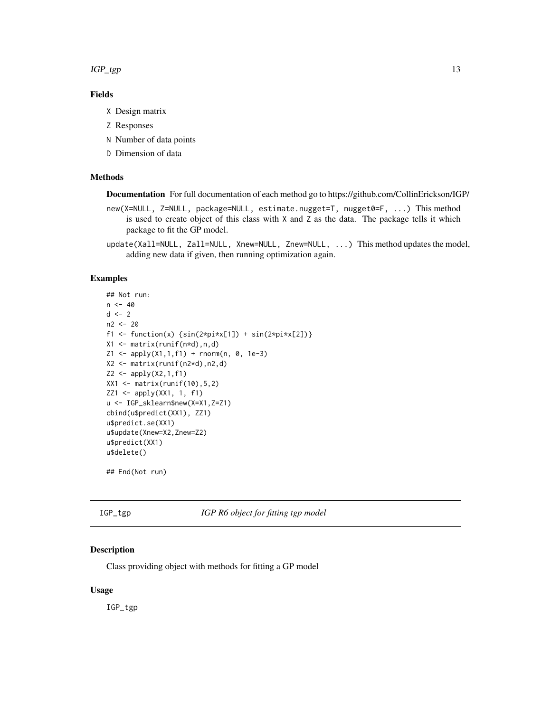<span id="page-12-0"></span> $IGP_{\text{p}}$  13

# Fields

- X Design matrix
- Z Responses
- N Number of data points
- D Dimension of data

# Methods

Documentation For full documentation of each method go to https://github.com/CollinErickson/IGP/

- new(X=NULL, Z=NULL, package=NULL, estimate.nugget=T, nugget0=F, ...) This method is used to create object of this class with X and Z as the data. The package tells it which package to fit the GP model.
- update(Xall=NULL, Zall=NULL, Xnew=NULL, Znew=NULL, ...) This method updates the model, adding new data if given, then running optimization again.

#### Examples

```
## Not run:
n < -40d \leq -2n2 <- 20
f1 <- function(x) {\sin(2 \times \pi) \times [1]} + \sin(2 \times \pi) \times [2])}
X1 \leftarrow matrix(runif(n*d),n,d)Z1 \leq - apply(X1,1,f1) + rnorm(n, 0, 1e-3)
X2 <- matrix(runif(n2*d),n2,d)
Z2 \le apply(X2,1,f1)
XX1 <- matrix(runif(10), 5, 2)
ZZ1 <- apply(XX1, 1, f1)
u <- IGP_sklearn$new(X=X1,Z=Z1)
cbind(u$predict(XX1), ZZ1)
u$predict.se(XX1)
u$update(Xnew=X2,Znew=Z2)
u$predict(XX1)
u$delete()
```
## End(Not run)

IGP\_tgp *IGP R6 object for fitting tgp model*

# Description

Class providing object with methods for fitting a GP model

#### Usage

IGP\_tgp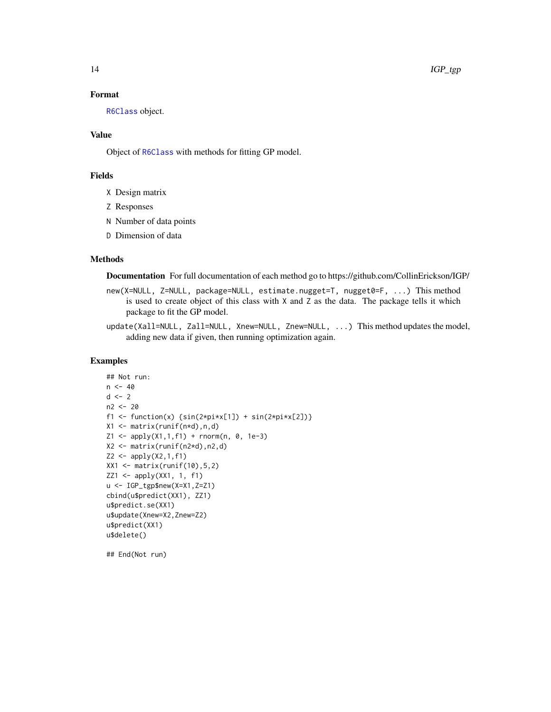# Format

[R6Class](#page-0-0) object.

### Value

Object of [R6Class](#page-0-0) with methods for fitting GP model.

#### Fields

- X Design matrix
- Z Responses
- N Number of data points
- D Dimension of data

#### Methods

Documentation For full documentation of each method go to https://github.com/CollinErickson/IGP/

- new(X=NULL, Z=NULL, package=NULL, estimate.nugget=T, nugget0=F, ...) This method is used to create object of this class with X and Z as the data. The package tells it which package to fit the GP model.
- update(Xall=NULL, Zall=NULL, Xnew=NULL, Znew=NULL, ...) This method updates the model, adding new data if given, then running optimization again.

# Examples

```
## Not run:
n < -40d \leq -2n2 <- 20
f1 <- function(x) {\sin(2 \times pi \times x[1]) + \sin(2 \times pi \times x[2])}
X1 \leftarrow matrix(runif(n*d),n,d)Z1 \leq - apply(X1,1,f1) + rnorm(n, 0, 1e-3)
X2 <- matrix(runif(n2*d),n2,d)
Z2 \le - apply(X2,1,f1)
XX1 <- matrix(runif(10),5,2)
ZZ1 \leftarrow apply(XX1, 1, f1)u <- IGP_tgp$new(X=X1,Z=Z1)
cbind(u$predict(XX1), ZZ1)
u$predict.se(XX1)
u$update(Xnew=X2,Znew=Z2)
u$predict(XX1)
u$delete()
```
## End(Not run)

<span id="page-13-0"></span>